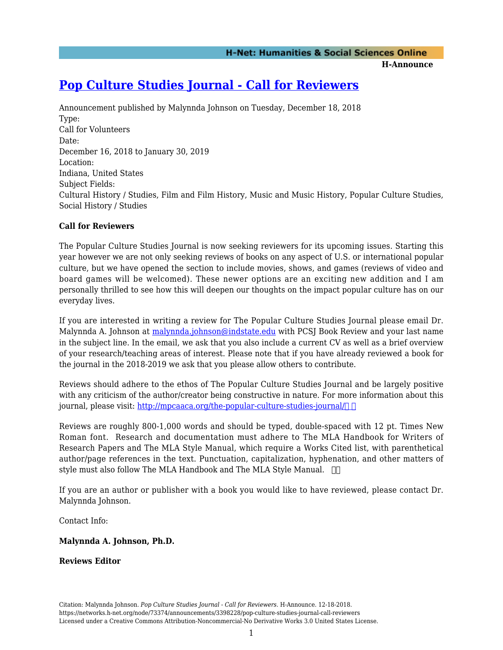# **[Pop Culture Studies Journal - Call for Reviewers](https://networks.h-net.org/node/73374/announcements/3398228/pop-culture-studies-journal-call-reviewers)**

Announcement published by Malynnda Johnson on Tuesday, December 18, 2018 Type: Call for Volunteers Date: December 16, 2018 to January 30, 2019 Location: Indiana, United States Subject Fields: Cultural History / Studies, Film and Film History, Music and Music History, Popular Culture Studies, Social History / Studies

## **Call for Reviewers**

The Popular Culture Studies Journal is now seeking reviewers for its upcoming issues. Starting this year however we are not only seeking reviews of books on any aspect of U.S. or international popular culture, but we have opened the section to include movies, shows, and games (reviews of video and board games will be welcomed). These newer options are an exciting new addition and I am personally thrilled to see how this will deepen our thoughts on the impact popular culture has on our everyday lives.

If you are interested in writing a review for The Popular Culture Studies Journal please email Dr. Malynnda A. Johnson at [malynnda.johnson@indstate.edu](mailto:malynnda.johnson@indstate.edu) with PCSJ Book Review and your last name in the subject line. In the email, we ask that you also include a current CV as well as a brief overview of your research/teaching areas of interest. Please note that if you have already reviewed a book for the journal in the 2018-2019 we ask that you please allow others to contribute.

Reviews should adhere to the ethos of The Popular Culture Studies Journal and be largely positive with any criticism of the author/creator being constructive in nature. For more information about this journal, please visit: http://mpcaaca.org/the-popular-culture-studies-journal/

Reviews are roughly 800-1,000 words and should be typed, double-spaced with 12 pt. Times New Roman font. Research and documentation must adhere to The MLA Handbook for Writers of Research Papers and The MLA Style Manual, which require a Works Cited list, with parenthetical author/page references in the text. Punctuation, capitalization, hyphenation, and other matters of style must also follow The MLA Handbook and The MLA Style Manual.  $\Box$ 

If you are an author or publisher with a book you would like to have reviewed, please contact Dr. Malynnda Johnson.

Contact Info:

#### **Malynnda A. Johnson, Ph.D.**

#### **Reviews Editor**